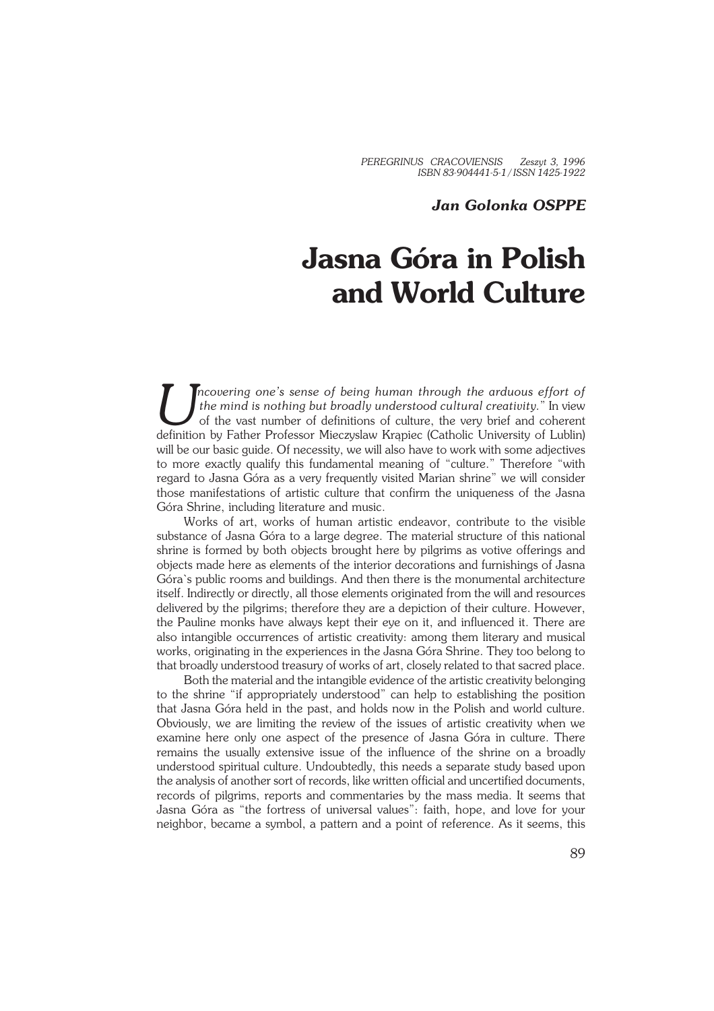*PEREGRINUS CRACOVIENSIS Zeszyt 3, 1996 ISBN 83−904441−5−1 / ISSN 1425−1922*

## *Jan Golonka OSPPE*

## **Jasna Góra in Polish and World Culture**

Incovering one's sense of being human through the arduous effort of the mind is nothing but broadly understood cultural creativity." In view of the vast number of definitions of culture, the very brief and coherent definit *ncovering one's sense of being human through the arduous effort of the mind is nothing but broadly understood cultural creativity.*" In view of the vast number of definitions of culture, the very brief and coherent will be our basic guide. Of necessity, we will also have to work with some adjectives to more exactly qualify this fundamental meaning of "culture." Therefore "with regard to Jasna Góra as a very frequently visited Marian shrine" we will consider those manifestations of artistic culture that confirm the uniqueness of the Jasna Góra Shrine, including literature and music.

Works of art, works of human artistic endeavor, contribute to the visible substance of Jasna Góra to a large degree. The material structure of this national shrine is formed by both objects brought here by pilgrims as votive offerings and objects made here as elements of the interior decorations and furnishings of Jasna Góra`s public rooms and buildings. And then there is the monumental architecture itself. Indirectly or directly, all those elements originated from the will and resources delivered by the pilgrims; therefore they are a depiction of their culture. However, the Pauline monks have always kept their eye on it, and influenced it. There are also intangible occurrences of artistic creativity: among them literary and musical works, originating in the experiences in the Jasna Góra Shrine. They too belong to that broadly understood treasury of works of art, closely related to that sacred place.

Both the material and the intangible evidence of the artistic creativity belonging to the shrine "if appropriately understood" can help to establishing the position that Jasna Góra held in the past, and holds now in the Polish and world culture. Obviously, we are limiting the review of the issues of artistic creativity when we examine here only one aspect of the presence of Jasna Góra in culture. There remains the usually extensive issue of the influence of the shrine on a broadly understood spiritual culture. Undoubtedly, this needs a separate study based upon the analysis of another sort of records, like written official and uncertified documents, records of pilgrims, reports and commentaries by the mass media. It seems that Jasna Góra as "the fortress of universal values": faith, hope, and love for your neighbor, became a symbol, a pattern and a point of reference. As it seems, this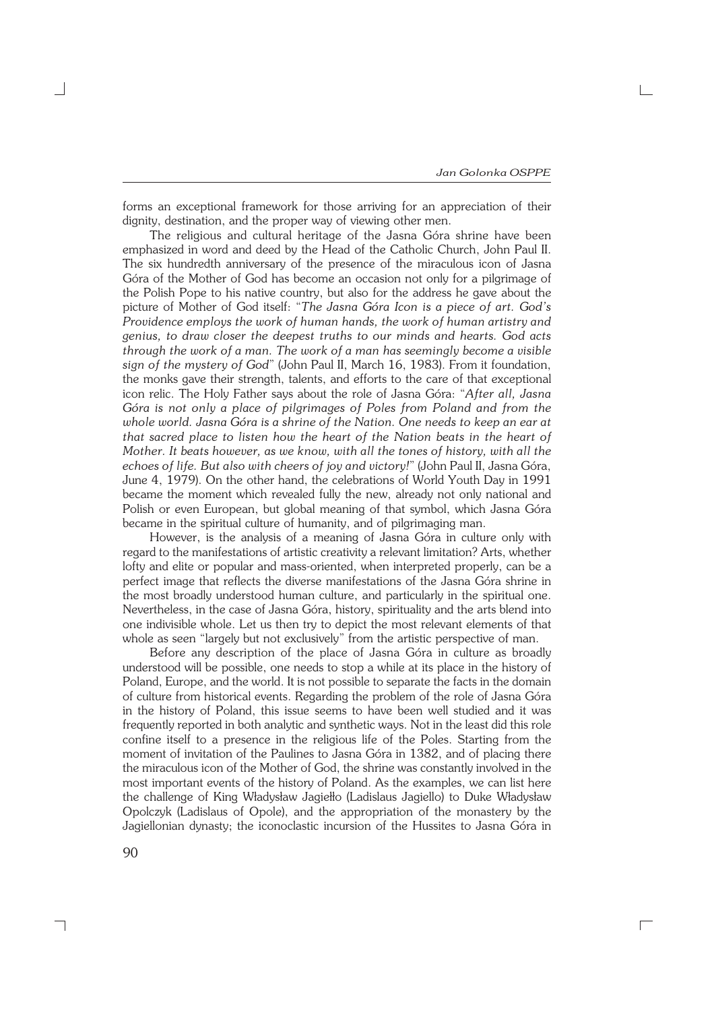forms an exceptional framework for those arriving for an appreciation of their dignity, destination, and the proper way of viewing other men.

The religious and cultural heritage of the Jasna Góra shrine have been emphasized in word and deed by the Head of the Catholic Church, John Paul II. The six hundredth anniversary of the presence of the miraculous icon of Jasna Góra of the Mother of God has become an occasion not only for a pilgrimage of the Polish Pope to his native country, but also for the address he gave about the picture of Mother of God itself: "*The Jasna Góra Icon is a piece of art. God's Providence employs the work of human hands, the work of human artistry and genius, to draw closer the deepest truths to our minds and hearts. God acts through the work of a man. The work of a man has seemingly become a visible sign of the mystery of God*" (John Paul II, March 16, 1983). From it foundation, the monks gave their strength, talents, and efforts to the care of that exceptional icon relic. The Holy Father says about the role of Jasna Góra: "*After all, Jasna Góra is not only a place of pilgrimages of Poles from Poland and from the whole world. Jasna Góra is a shrine of the Nation. One needs to keep an ear at that sacred place to listen how the heart of the Nation beats in the heart of Mother. It beats however, as we know, with all the tones of history, with all the echoes of life. But also with cheers of joy and victory!*" (John Paul II, Jasna Góra, June 4, 1979). On the other hand, the celebrations of World Youth Day in 1991 became the moment which revealed fully the new, already not only national and Polish or even European, but global meaning of that symbol, which Jasna Góra became in the spiritual culture of humanity, and of pilgrimaging man.

However, is the analysis of a meaning of Jasna Góra in culture only with regard to the manifestations of artistic creativity a relevant limitation? Arts, whether lofty and elite or popular and mass−oriented, when interpreted properly, can be a perfect image that reflects the diverse manifestations of the Jasna Góra shrine in the most broadly understood human culture, and particularly in the spiritual one. Nevertheless, in the case of Jasna Góra, history, spirituality and the arts blend into one indivisible whole. Let us then try to depict the most relevant elements of that whole as seen "largely but not exclusively" from the artistic perspective of man.

Before any description of the place of Jasna Góra in culture as broadly understood will be possible, one needs to stop a while at its place in the history of Poland, Europe, and the world. It is not possible to separate the facts in the domain of culture from historical events. Regarding the problem of the role of Jasna Góra in the history of Poland, this issue seems to have been well studied and it was frequently reported in both analytic and synthetic ways. Not in the least did this role confine itself to a presence in the religious life of the Poles. Starting from the moment of invitation of the Paulines to Jasna Góra in 1382, and of placing there the miraculous icon of the Mother of God, the shrine was constantly involved in the most important events of the history of Poland. As the examples, we can list here the challenge of King Władysław Jagiełło (Ladislaus Jagiello) to Duke Władysław Opolczyk (Ladislaus of Opole), and the appropriation of the monastery by the Jagiellonian dynasty; the iconoclastic incursion of the Hussites to Jasna Góra in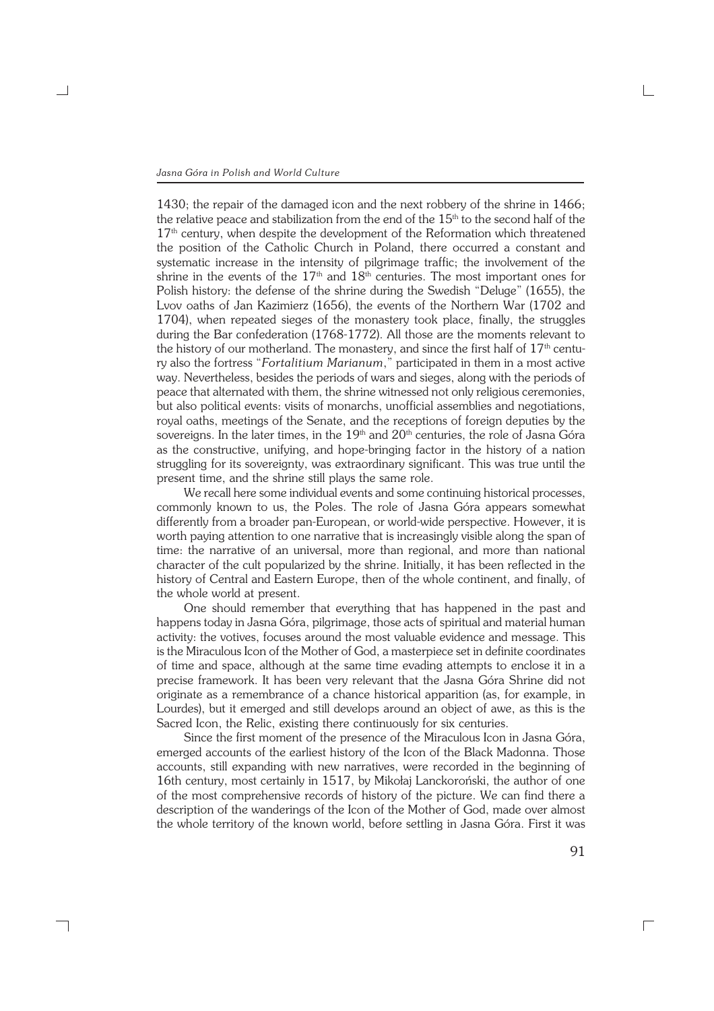┐

1430; the repair of the damaged icon and the next robbery of the shrine in 1466; the relative peace and stabilization from the end of the  $15<sup>th</sup>$  to the second half of the 17<sup>th</sup> century, when despite the development of the Reformation which threatened the position of the Catholic Church in Poland, there occurred a constant and systematic increase in the intensity of pilgrimage traffic; the involvement of the shrine in the events of the  $17<sup>th</sup>$  and  $18<sup>th</sup>$  centuries. The most important ones for Polish history: the defense of the shrine during the Swedish "Deluge" (1655), the Lvov oaths of Jan Kazimierz (1656), the events of the Northern War (1702 and 1704), when repeated sieges of the monastery took place, finally, the struggles during the Bar confederation (1768−1772). All those are the moments relevant to the history of our motherland. The monastery, and since the first half of  $17<sup>th</sup>$  century also the fortress "*Fortalitium Marianum*," participated in them in a most active way. Nevertheless, besides the periods of wars and sieges, along with the periods of peace that alternated with them, the shrine witnessed not only religious ceremonies, but also political events: visits of monarchs, unofficial assemblies and negotiations, royal oaths, meetings of the Senate, and the receptions of foreign deputies by the sovereigns. In the later times, in the  $19<sup>th</sup>$  and  $20<sup>th</sup>$  centuries, the role of Jasna Góra as the constructive, unifying, and hope−bringing factor in the history of a nation struggling for its sovereignty, was extraordinary significant. This was true until the present time, and the shrine still plays the same role.

We recall here some individual events and some continuing historical processes, commonly known to us, the Poles. The role of Jasna Góra appears somewhat differently from a broader pan−European, or world−wide perspective. However, it is worth paying attention to one narrative that is increasingly visible along the span of time: the narrative of an universal, more than regional, and more than national character of the cult popularized by the shrine. Initially, it has been reflected in the history of Central and Eastern Europe, then of the whole continent, and finally, of the whole world at present.

One should remember that everything that has happened in the past and happens today in Jasna Góra, pilgrimage, those acts of spiritual and material human activity: the votives, focuses around the most valuable evidence and message. This is the Miraculous Icon of the Mother of God, a masterpiece set in definite coordinates of time and space, although at the same time evading attempts to enclose it in a precise framework. It has been very relevant that the Jasna Góra Shrine did not originate as a remembrance of a chance historical apparition (as, for example, in Lourdes), but it emerged and still develops around an object of awe, as this is the Sacred Icon, the Relic, existing there continuously for six centuries.

Since the first moment of the presence of the Miraculous Icon in Jasna Góra, emerged accounts of the earliest history of the Icon of the Black Madonna. Those accounts, still expanding with new narratives, were recorded in the beginning of 16th century, most certainly in 1517, by Mikołaj Lanckoroński, the author of one of the most comprehensive records of history of the picture. We can find there a description of the wanderings of the Icon of the Mother of God, made over almost the whole territory of the known world, before settling in Jasna Góra. First it was

 $\Box$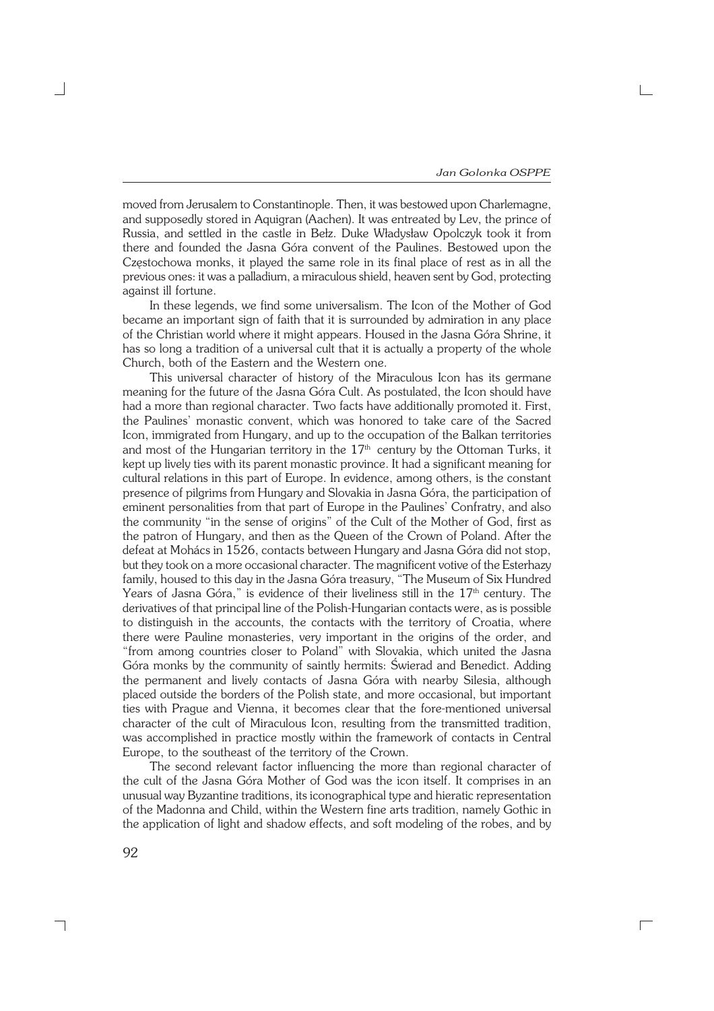moved from Jerusalem to Constantinople. Then, it was bestowed upon Charlemagne, and supposedly stored in Aquigran (Aachen). It was entreated by Lev, the prince of Russia, and settled in the castle in Bełz. Duke Władysław Opolczyk took it from there and founded the Jasna Góra convent of the Paulines. Bestowed upon the Częstochowa monks, it played the same role in its final place of rest as in all the previous ones: it was a palladium, a miraculous shield, heaven sent by God, protecting against ill fortune.

In these legends, we find some universalism. The Icon of the Mother of God became an important sign of faith that it is surrounded by admiration in any place of the Christian world where it might appears. Housed in the Jasna Góra Shrine, it has so long a tradition of a universal cult that it is actually a property of the whole Church, both of the Eastern and the Western one.

This universal character of history of the Miraculous Icon has its germane meaning for the future of the Jasna Góra Cult. As postulated, the Icon should have had a more than regional character. Two facts have additionally promoted it. First, the Paulines' monastic convent, which was honored to take care of the Sacred Icon, immigrated from Hungary, and up to the occupation of the Balkan territories and most of the Hungarian territory in the  $17<sup>th</sup>$  century by the Ottoman Turks, it kept up lively ties with its parent monastic province. It had a significant meaning for cultural relations in this part of Europe. In evidence, among others, is the constant presence of pilgrims from Hungary and Slovakia in Jasna Góra, the participation of eminent personalities from that part of Europe in the Paulines' Confratry, and also the community "in the sense of origins" of the Cult of the Mother of God, first as the patron of Hungary, and then as the Queen of the Crown of Poland. After the defeat at Mohács in 1526, contacts between Hungary and Jasna Góra did not stop, but they took on a more occasional character. The magnificent votive of the Esterhazy family, housed to this day in the Jasna Góra treasury, "The Museum of Six Hundred Years of Jasna Góra," is evidence of their liveliness still in the  $17<sup>th</sup>$  century. The derivatives of that principal line of the Polish−Hungarian contacts were, as is possible to distinguish in the accounts, the contacts with the territory of Croatia, where there were Pauline monasteries, very important in the origins of the order, and "from among countries closer to Poland" with Slovakia, which united the Jasna Góra monks by the community of saintly hermits: Świerad and Benedict. Adding the permanent and lively contacts of Jasna Góra with nearby Silesia, although placed outside the borders of the Polish state, and more occasional, but important ties with Prague and Vienna, it becomes clear that the fore−mentioned universal character of the cult of Miraculous Icon, resulting from the transmitted tradition, was accomplished in practice mostly within the framework of contacts in Central Europe, to the southeast of the territory of the Crown.

The second relevant factor influencing the more than regional character of the cult of the Jasna Góra Mother of God was the icon itself. It comprises in an unusual way Byzantine traditions, its iconographical type and hieratic representation of the Madonna and Child, within the Western fine arts tradition, namely Gothic in the application of light and shadow effects, and soft modeling of the robes, and by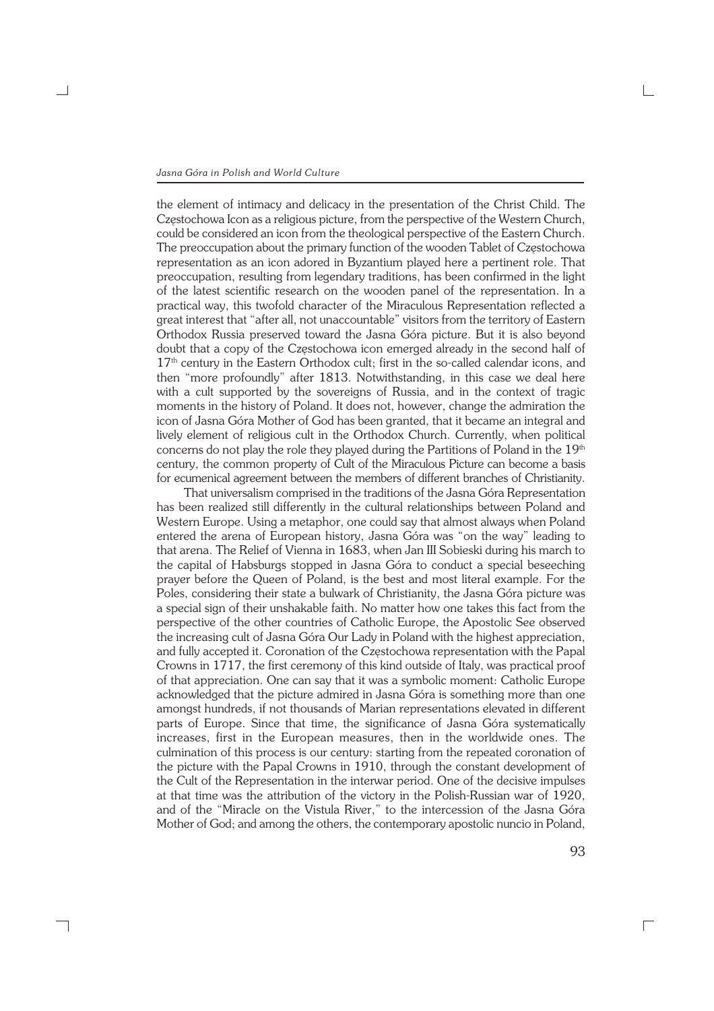## *Jasna Góra in Polish and World Culture*

┑

the element of intimacy and delicacy in the presentation of the Christ Child. The Częstochowa Icon as a religious picture, from the perspective of the Western Church, could be considered an icon from the theological perspective of the Eastern Church. The preoccupation about the primary function of the wooden Tablet of Częstochowa representation as an icon adored in Byzantium played here a pertinent role. That preoccupation, resulting from legendary traditions, has been confirmed in the light of the latest scientific research on the wooden panel of the representation. In a practical way, this twofold character of the Miraculous Representation reflected a great interest that "after all, not unaccountable" visitors from the territory of Eastern Orthodox Russia preserved toward the Jasna Góra picture. But it is also beyond doubt that a copy of the Częstochowa icon emerged already in the second half of 17<sup>th</sup> century in the Eastern Orthodox cult; first in the so-called calendar icons, and then "more profoundly" after 1813. Notwithstanding, in this case we deal here with a cult supported by the sovereigns of Russia, and in the context of tragic moments in the history of Poland. It does not, however, change the admiration the icon of Jasna Góra Mother of God has been granted, that it became an integral and lively element of religious cult in the Orthodox Church. Currently, when political concerns do not play the role they played during the Partitions of Poland in the 19th century, the common property of Cult of the Miraculous Picture can become a basis for ecumenical agreement between the members of different branches of Christianity.

That universalism comprised in the traditions of the Jasna Góra Representation has been realized still differently in the cultural relationships between Poland and Western Europe. Using a metaphor, one could say that almost always when Poland entered the arena of European history, Jasna Góra was "on the way" leading to that arena. The Relief of Vienna in 1683, when Jan III Sobieski during his march to the capital of Habsburgs stopped in Jasna Góra to conduct a special beseeching prayer before the Queen of Poland, is the best and most literal example. For the Poles, considering their state a bulwark of Christianity, the Jasna Góra picture was a special sign of their unshakable faith. No matter how one takes this fact from the perspective of the other countries of Catholic Europe, the Apostolic See observed the increasing cult of Jasna Góra Our Lady in Poland with the highest appreciation, and fully accepted it. Coronation of the Częstochowa representation with the Papal Crowns in 1717, the first ceremony of this kind outside of Italy, was practical proof of that appreciation. One can say that it was a symbolic moment: Catholic Europe acknowledged that the picture admired in Jasna Góra is something more than one amongst hundreds, if not thousands of Marian representations elevated in different parts of Europe. Since that time, the significance of Jasna Góra systematically increases, first in the European measures, then in the worldwide ones. The culmination of this process is our century: starting from the repeated coronation of the picture with the Papal Crowns in 1910, through the constant development of the Cult of the Representation in the interwar period. One of the decisive impulses at that time was the attribution of the victory in the Polish−Russian war of 1920, and of the "Miracle on the Vistula River," to the intercession of the Jasna Góra Mother of God; and among the others, the contemporary apostolic nuncio in Poland,

 $\Box$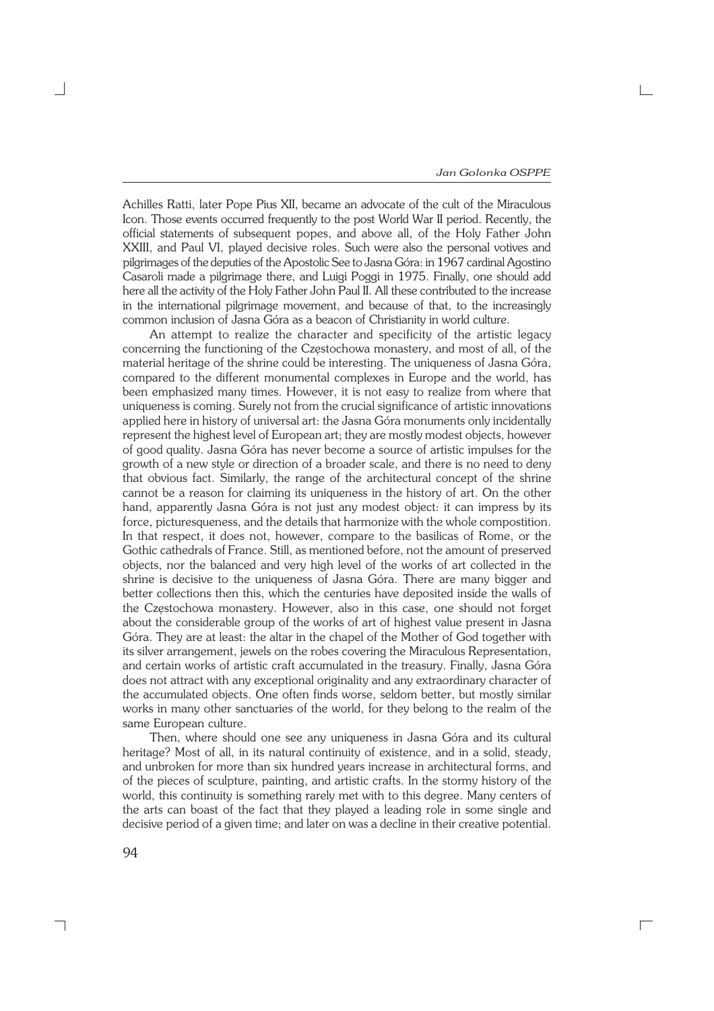Achilles Ratti, later Pope Pius XII, became an advocate of the cult of the Miraculous Icon. Those events occurred frequently to the post World War II period. Recently, the official statements of subsequent popes, and above all, of the Holy Father John XXIII, and Paul VI, played decisive roles. Such were also the personal votives and pilgrimages of the deputies of the Apostolic See to Jasna Góra: in 1967 cardinal Agostino Casaroli made a pilgrimage there, and Luigi Poggi in 1975. Finally, one should add here all the activity of the Holy Father John Paul II. All these contributed to the increase in the international pilgrimage movement, and because of that, to the increasingly common inclusion of Jasna Góra as a beacon of Christianity in world culture.

An attempt to realize the character and specificity of the artistic legacy concerning the functioning of the Częstochowa monastery, and most of all, of the material heritage of the shrine could be interesting. The uniqueness of Jasna Góra, compared to the different monumental complexes in Europe and the world, has been emphasized many times. However, it is not easy to realize from where that uniqueness is coming. Surely not from the crucial significance of artistic innovations applied here in history of universal art: the Jasna Góra monuments only incidentally represent the highest level of European art; they are mostly modest objects, however of good quality. Jasna Góra has never become a source of artistic impulses for the growth of a new style or direction of a broader scale, and there is no need to deny that obvious fact. Similarly, the range of the architectural concept of the shrine cannot be a reason for claiming its uniqueness in the history of art. On the other hand, apparently Jasna Góra is not just any modest object: it can impress by its force, picturesqueness, and the details that harmonize with the whole compostition. In that respect, it does not, however, compare to the basilicas of Rome, or the Gothic cathedrals of France. Still, as mentioned before, not the amount of preserved objects, nor the balanced and very high level of the works of art collected in the shrine is decisive to the uniqueness of Jasna Góra. There are many bigger and better collections then this, which the centuries have deposited inside the walls of the Częstochowa monastery. However, also in this case, one should not forget about the considerable group of the works of art of highest value present in Jasna Góra. They are at least: the altar in the chapel of the Mother of God together with its silver arrangement, jewels on the robes covering the Miraculous Representation, and certain works of artistic craft accumulated in the treasury. Finally, Jasna Góra does not attract with any exceptional originality and any extraordinary character of the accumulated objects. One often finds worse, seldom better, but mostly similar works in many other sanctuaries of the world, for they belong to the realm of the same European culture.

Then, where should one see any uniqueness in Jasna Góra and its cultural heritage? Most of all, in its natural continuity of existence, and in a solid, steady, and unbroken for more than six hundred years increase in architectural forms, and of the pieces of sculpture, painting, and artistic crafts. In the stormy history of the world, this continuity is something rarely met with to this degree. Many centers of the arts can boast of the fact that they played a leading role in some single and decisive period of a given time; and later on was a decline in their creative potential.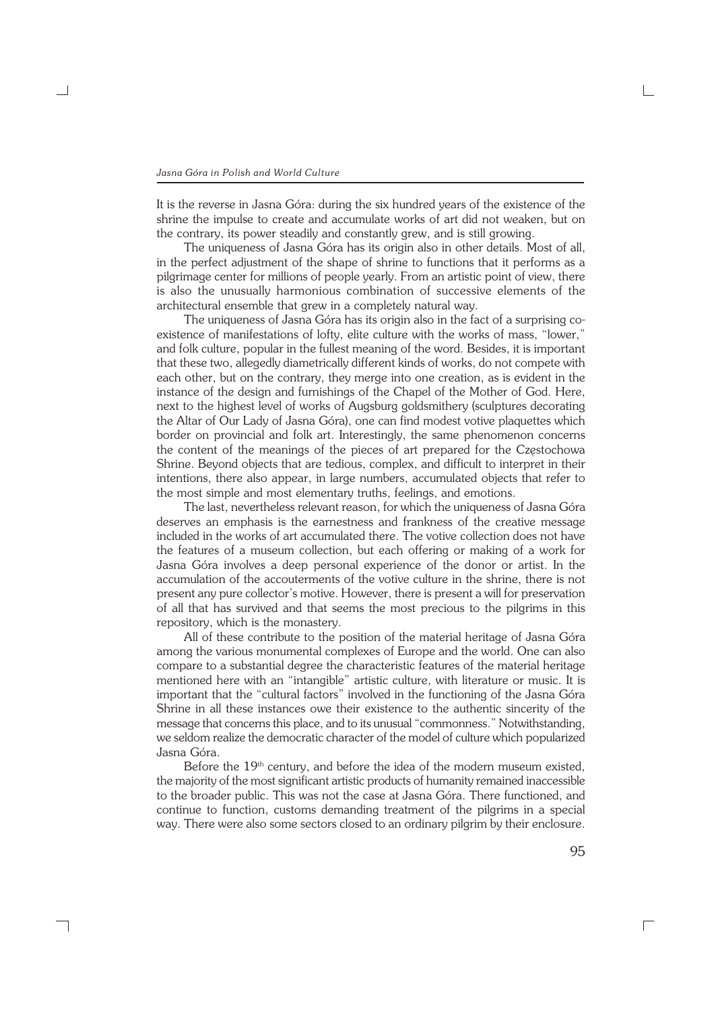It is the reverse in Jasna Góra: during the six hundred years of the existence of the shrine the impulse to create and accumulate works of art did not weaken, but on the contrary, its power steadily and constantly grew, and is still growing.

The uniqueness of Jasna Góra has its origin also in other details. Most of all, in the perfect adjustment of the shape of shrine to functions that it performs as a pilgrimage center for millions of people yearly. From an artistic point of view, there is also the unusually harmonious combination of successive elements of the architectural ensemble that grew in a completely natural way.

The uniqueness of Jasna Góra has its origin also in the fact of a surprising co− existence of manifestations of lofty, elite culture with the works of mass, "lower," and folk culture, popular in the fullest meaning of the word. Besides, it is important that these two, allegedly diametrically different kinds of works, do not compete with each other, but on the contrary, they merge into one creation, as is evident in the instance of the design and furnishings of the Chapel of the Mother of God. Here, next to the highest level of works of Augsburg goldsmithery (sculptures decorating the Altar of Our Lady of Jasna Góra), one can find modest votive plaquettes which border on provincial and folk art. Interestingly, the same phenomenon concerns the content of the meanings of the pieces of art prepared for the Częstochowa Shrine. Beyond objects that are tedious, complex, and difficult to interpret in their intentions, there also appear, in large numbers, accumulated objects that refer to the most simple and most elementary truths, feelings, and emotions.

The last, nevertheless relevant reason, for which the uniqueness of Jasna Góra deserves an emphasis is the earnestness and frankness of the creative message included in the works of art accumulated there. The votive collection does not have the features of a museum collection, but each offering or making of a work for Jasna Góra involves a deep personal experience of the donor or artist. In the accumulation of the accouterments of the votive culture in the shrine, there is not present any pure collector's motive. However, there is present a will for preservation of all that has survived and that seems the most precious to the pilgrims in this repository, which is the monastery.

All of these contribute to the position of the material heritage of Jasna Góra among the various monumental complexes of Europe and the world. One can also compare to a substantial degree the characteristic features of the material heritage mentioned here with an "intangible" artistic culture, with literature or music. It is important that the "cultural factors" involved in the functioning of the Jasna Góra Shrine in all these instances owe their existence to the authentic sincerity of the message that concerns this place, and to its unusual "commonness." Notwithstanding, we seldom realize the democratic character of the model of culture which popularized Jasna Góra.

Before the 19<sup>th</sup> century, and before the idea of the modern museum existed, the majority of the most significant artistic products of humanity remained inaccessible to the broader public. This was not the case at Jasna Góra. There functioned, and continue to function, customs demanding treatment of the pilgrims in a special way. There were also some sectors closed to an ordinary pilgrim by their enclosure.

┐

 $\Box$